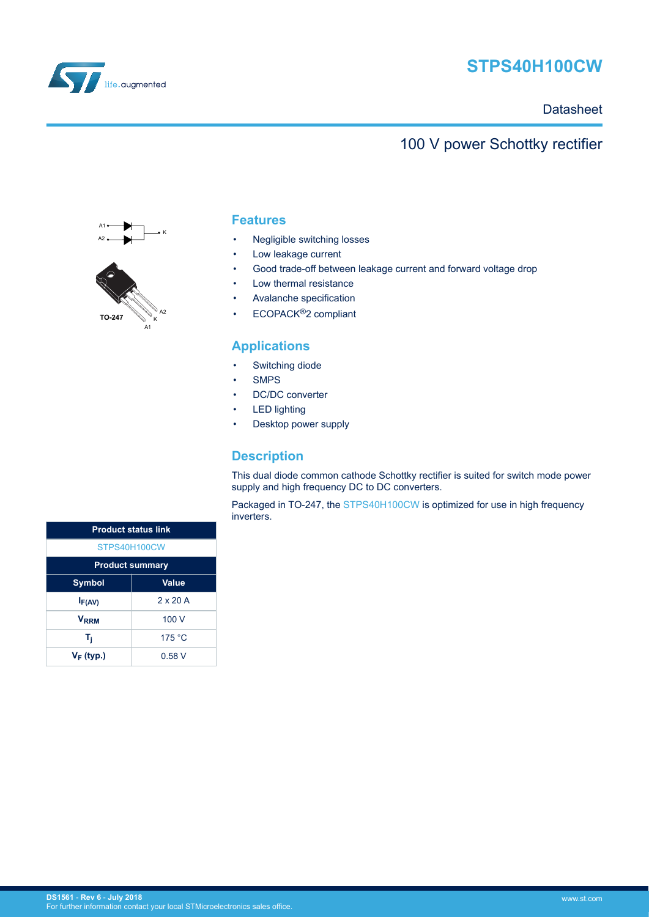

# **STPS40H100CW**

### **Datasheet**

## 100 V power Schottky rectifier



### **Features**

- Negligible switching losses
- Low leakage current
- Good trade-off between leakage current and forward voltage drop
- Low thermal resistance
- Avalanche specification
- ECOPACK®2 compliant

### **Applications**

- Switching diode
- SMPS
- DC/DC converter
- **LED** lighting
- Desktop power supply

### **Description**

This dual diode common cathode Schottky rectifier is suited for switch mode power supply and high frequency DC to DC converters.

Packaged in TO-247, the [STPS40H100CW](http://www.st.com/en/product/stps40h100cw) is optimized for use in high frequency inverters.

| <b>Product status link</b> |                 |  |  |  |
|----------------------------|-----------------|--|--|--|
| STPS40H100CW               |                 |  |  |  |
| <b>Product summary</b>     |                 |  |  |  |
| Value<br><b>Symbol</b>     |                 |  |  |  |
| $I_{F(AV)}$                | $2 \times 20$ A |  |  |  |
| <b>VRRM</b>                | 100V            |  |  |  |
| T,                         | 175 °C          |  |  |  |
| $V_F$ (typ.)               | 0.58 V          |  |  |  |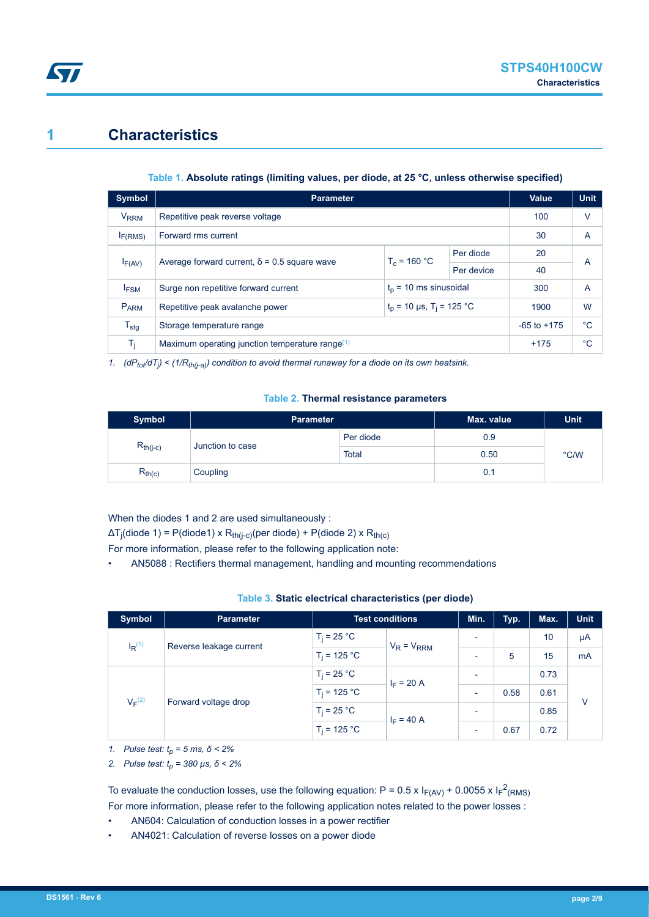## **1 Characteristics**

<span id="page-1-0"></span>S7

#### **Table 1. Absolute ratings (limiting values, per diode, at 25 °C, unless otherwise specified)**

| Symbol                 | <b>Parameter</b>                                                          | <b>Value</b>   | <b>Unit</b> |      |                |
|------------------------|---------------------------------------------------------------------------|----------------|-------------|------|----------------|
| <b>V<sub>RRM</sub></b> | Repetitive peak reverse voltage                                           | 100            | v           |      |                |
| I <sub>F(RMS)</sub>    | Forward rms current                                                       |                |             | 30   | $\overline{A}$ |
| $I_{F(AV)}$            |                                                                           | $T_c = 160 °C$ | Per diode   | 20   | A              |
|                        | Average forward current, $\delta$ = 0.5 square wave                       |                | Per device  | 40   |                |
| I <sub>FSM</sub>       | $t_n$ = 10 ms sinusoidal<br>Surge non repetitive forward current          |                |             |      | $\overline{A}$ |
| PARM                   | $t_p$ = 10 µs, T <sub>i</sub> = 125 °C<br>Repetitive peak avalanche power |                |             | 1900 | W              |
| $T_{\text{stg}}$       | Storage temperature range                                                 |                |             |      | °C             |
| T,                     | Maximum operating junction temperature range $(1)$                        | $+175$         | °C          |      |                |

*1. (dPtot/dT<sup>j</sup> ) < (1/Rth(j-a)) condition to avoid thermal runaway for a diode on its own heatsink.*

#### **Table 2. Thermal resistance parameters**

| <b>Symbol</b> | <b>Parameter</b> |              | Max. value | Unit |
|---------------|------------------|--------------|------------|------|
| $R_{th(j-c)}$ | Junction to case | Per diode    | 0.9        | °C/W |
|               |                  | <b>Total</b> | 0.50       |      |
| $R_{th(c)}$   | Coupling         |              | 0.1        |      |

When the diodes 1 and 2 are used simultaneously :

ΔT<sub>j</sub>(diode 1) = P(diode1) x R<sub>th(j-c)</sub>(per diode) + P(diode 2) x R<sub>th(c)</sub>

For more information, please refer to the following application note:

• AN5088 : Rectifiers thermal management, handling and mounting recommendations

| Table 3. Static electrical characteristics (per diode) |  |  |
|--------------------------------------------------------|--|--|
|--------------------------------------------------------|--|--|

| Symbol               | <b>Parameter</b>        | <b>Test conditions</b> |                 | Min.                     | Typ. | Max. | <b>Unit</b> |
|----------------------|-------------------------|------------------------|-----------------|--------------------------|------|------|-------------|
| $I_R$ <sup>(1)</sup> | Reverse leakage current | $T_i = 25 °C$          | $V_R = V_{RRM}$ | $\overline{\phantom{0}}$ |      | 10   | μA          |
|                      |                         | $T_i = 125 °C$         |                 | $\overline{\phantom{0}}$ | 5    | 15   | mA          |
| $V_F^{(2)}$          | Forward voltage drop    | $T_i = 25 °C$          | $I_F = 20 A$    | $\overline{\phantom{a}}$ |      | 0.73 | $\vee$      |
|                      |                         | $T_i = 125 °C$         |                 | $\overline{\phantom{a}}$ | 0.58 | 0.61 |             |
|                      |                         | $T_i = 25 °C$          | $I_F = 40 A$    | $\overline{\phantom{0}}$ |      | 0.85 |             |
|                      |                         | $T_i = 125 °C$         |                 | $\overline{\phantom{0}}$ | 0.67 | 0.72 |             |

*1. Pulse test: tp = 5 ms, δ < 2%*

*2. Pulse test: tp = 380 µs, δ < 2%*

To evaluate the conduction losses, use the following equation: P = 0.5 x  $I_{F(AV)}$  + 0.0055 x  $I_F^2$ <sub>(RMS)</sub> For more information, please refer to the following application notes related to the power losses :

- AN604: Calculation of conduction losses in a power rectifier
- AN4021: Calculation of reverse losses on a power diode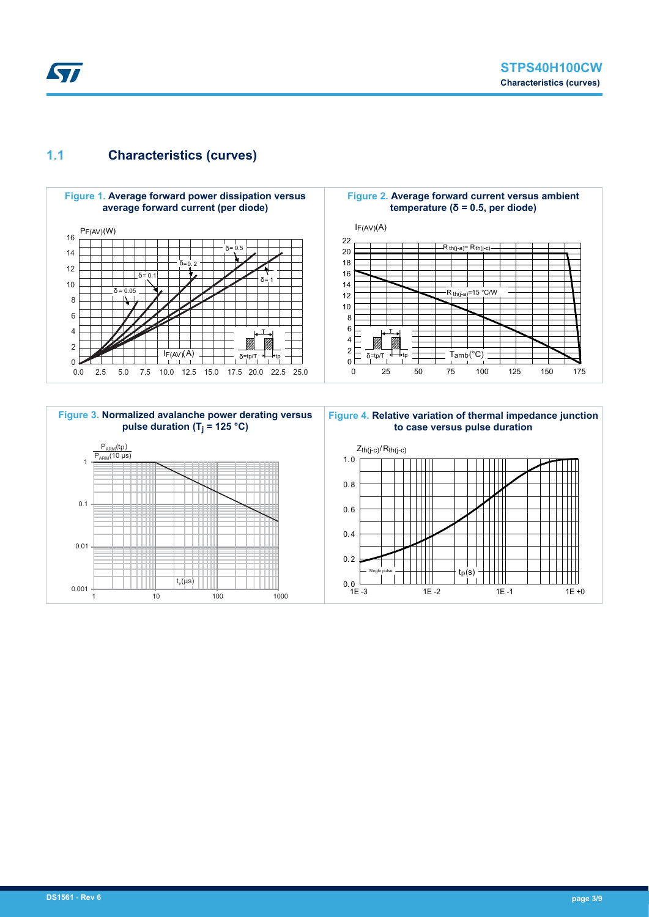<span id="page-2-0"></span>

## **1.1 Characteristics (curves)**



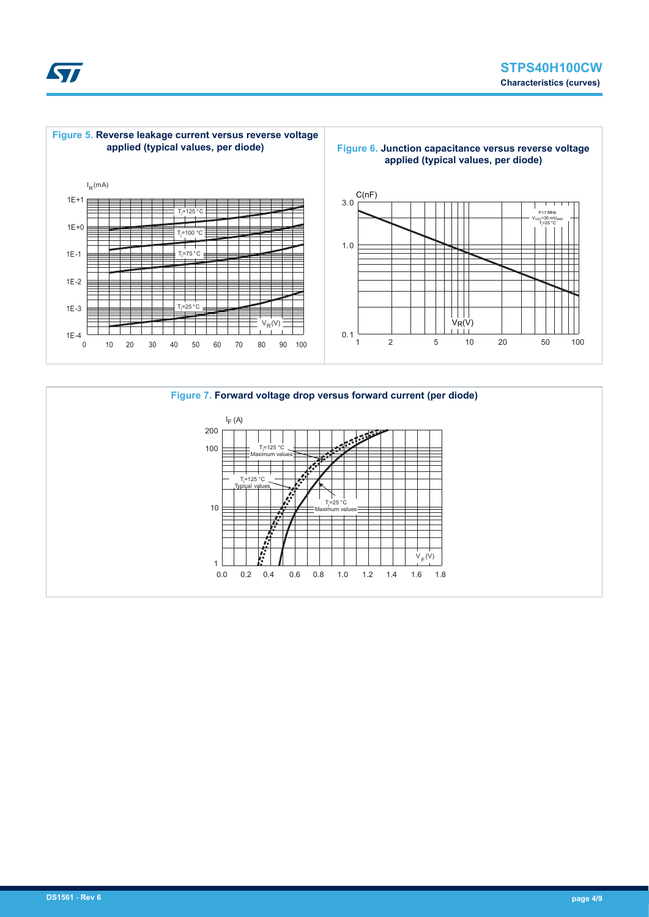



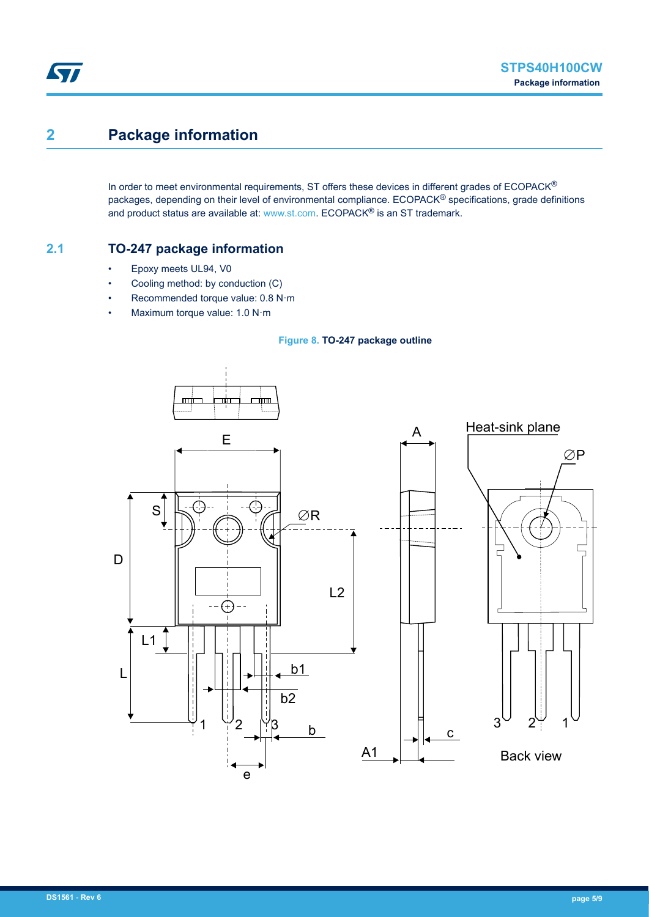# **2 Package information**

ST

In order to meet environmental requirements, ST offers these devices in different grades of ECOPACK® packages, depending on their level of environmental compliance. ECOPACK<sup>®</sup> specifications, grade definitions and product status are available at: [www.st.com.](http://www.st.com) ECOPACK® is an ST trademark.

## **2.1 TO-247 package information**

- Epoxy meets UL94, V0
- Cooling method: by conduction (C)
- Recommended torque value: 0.8 N·m
- Maximum torque value: 1.0 N·m



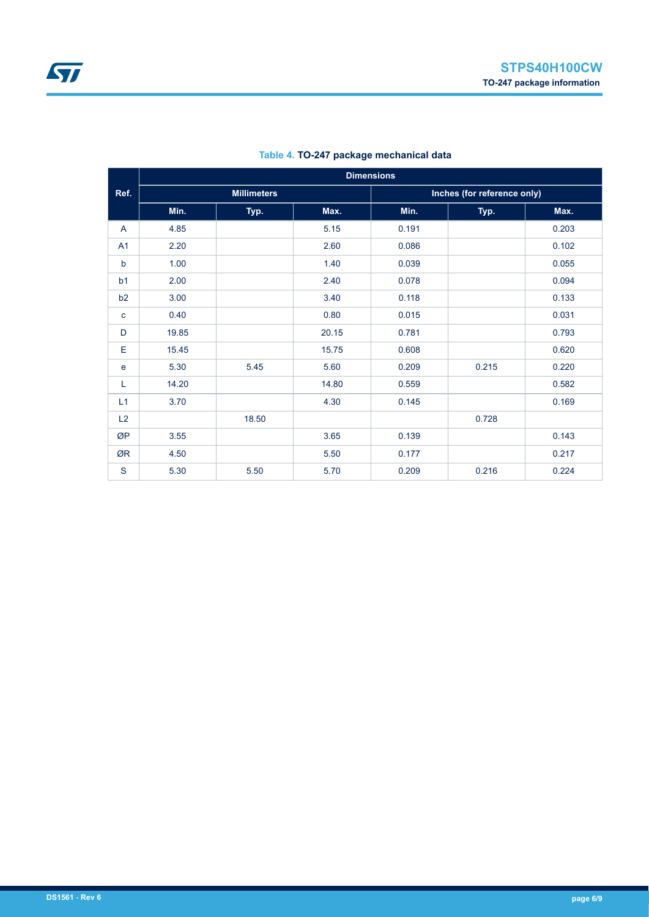|                |       | <b>Dimensions</b>  |       |       |                             |       |  |  |
|----------------|-------|--------------------|-------|-------|-----------------------------|-------|--|--|
| Ref.           |       | <b>Millimeters</b> |       |       | Inches (for reference only) |       |  |  |
|                | Min.  | Typ.               | Max.  | Min.  | Typ.                        | Max.  |  |  |
| A              | 4.85  |                    | 5.15  | 0.191 |                             | 0.203 |  |  |
| A1             | 2.20  |                    | 2.60  | 0.086 |                             | 0.102 |  |  |
| $\mathsf b$    | 1.00  |                    | 1.40  | 0.039 |                             | 0.055 |  |  |
| b <sub>1</sub> | 2.00  |                    | 2.40  | 0.078 |                             | 0.094 |  |  |
| b2             | 3.00  |                    | 3.40  | 0.118 |                             | 0.133 |  |  |
| $\mathbf{C}$   | 0.40  |                    | 0.80  | 0.015 |                             | 0.031 |  |  |
| D              | 19.85 |                    | 20.15 | 0.781 |                             | 0.793 |  |  |
| Е              | 15.45 |                    | 15.75 | 0.608 |                             | 0.620 |  |  |
| e              | 5.30  | 5.45               | 5.60  | 0.209 | 0.215                       | 0.220 |  |  |
| L              | 14.20 |                    | 14.80 | 0.559 |                             | 0.582 |  |  |
| L1             | 3.70  |                    | 4.30  | 0.145 |                             | 0.169 |  |  |
| L2             |       | 18.50              |       |       | 0.728                       |       |  |  |
| ØP             | 3.55  |                    | 3.65  | 0.139 |                             | 0.143 |  |  |
| ØR             | 4.50  |                    | 5.50  | 0.177 |                             | 0.217 |  |  |
| S              | 5.30  | 5.50               | 5.70  | 0.209 | 0.216                       | 0.224 |  |  |

### **Table 4. TO-247 package mechanical data**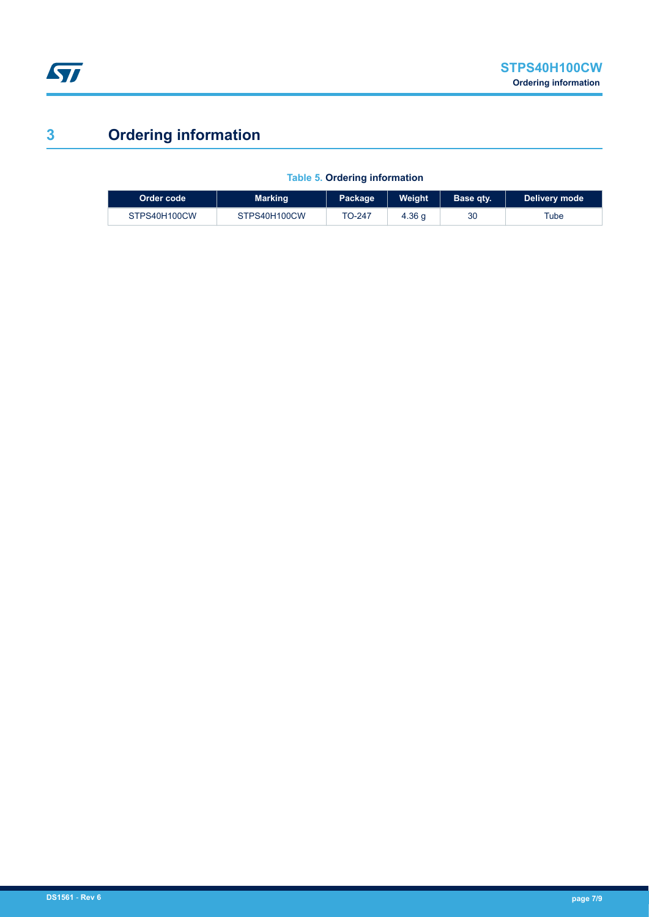

# **3 Ordering information**

I

| Order code   | <b>Marking</b> | Package | Weight | Base qty. | Delivery mode |
|--------------|----------------|---------|--------|-----------|---------------|
| STPS40H100CW | STPS40H100CW   | TO-247  | 4.36q  | 30        | Tube          |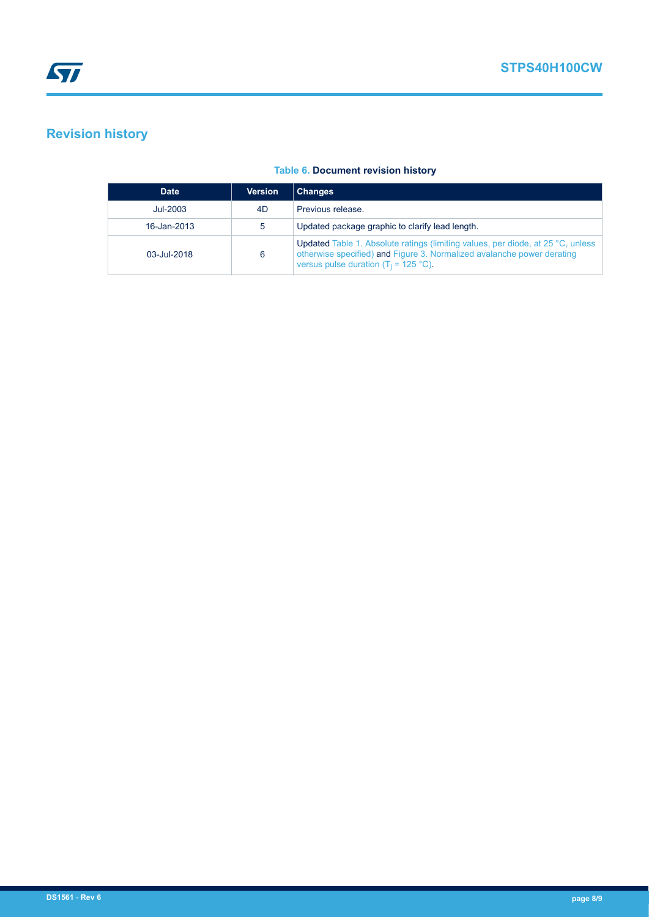**STPS40H100CW**

# **Revision history**

### **Table 6. Document revision history**

| <b>Date</b>        | <b>Version</b> | <b>Changes</b>                                                                                                                                                                                                       |
|--------------------|----------------|----------------------------------------------------------------------------------------------------------------------------------------------------------------------------------------------------------------------|
| Jul-2003           | 4D.            | Previous release.                                                                                                                                                                                                    |
| 16-Jan-2013        | 5              | Updated package graphic to clarify lead length.                                                                                                                                                                      |
| $03 - J(1) - 2018$ | 6              | <b>Updated Table 1. Absolute ratings (limiting values, per diode, at 25 °C, unless</b><br>otherwise specified) and Figure 3. Normalized avalanche power derating<br>versus pulse duration ( $T_i = 125 \degree C$ ). |